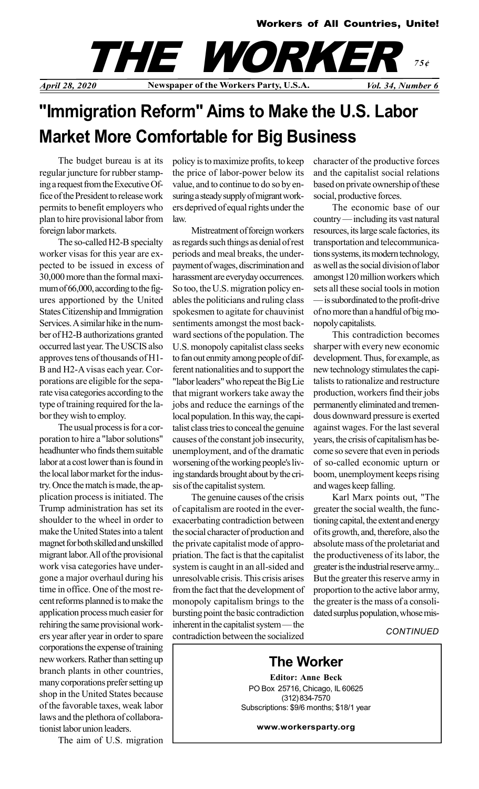



# "Immigration Reform" Aims to Make the U.S. Labor Market More Comfortable for Big Business

The budget bureau is at its regular juncture for rubber stamping a request from the Executive Office of the President to release work permits to benefit employers who plan to hire provisional labor from foreign labor markets.

The so-called H2-B specialty worker visas for this year are expected to be issued in excess of 30,000 more than the formal maximum of 66,000, according to the figures apportioned by the United States Citizenship and Immigration Services. A similar hike in the number of H2-B authorizations granted occurred last year. The USCIS also approves tens of thousands of H1- B and H2-A visas each year. Corporations are eligible for the separate visa categories according to the type of training required for the labor they wish to employ.

The usual process is for a corporation to hire a "labor solutions" headhunter who finds them suitable labor at a cost lower than is found in the local labor market for the industry. Once the match is made, the application process is initiated. The Trump administration has set its shoulder to the wheel in order to make the United States into a talent magnet for both skilled and unskilled migrant labor. All of the provisional work visa categories have undergone a major overhaul during his time in office. One of the most recent reforms planned is to make the application process much easier for rehiring the same provisional workers year after year in order to spare corporations the expense of training new workers. Rather than setting up branch plants in other countries, many corporations prefer setting up shop in the United States because of the favorable taxes, weak labor laws and the plethora of collaborationist labor union leaders.

The aim of U.S. migration

policy is to maximize profits, to keep the price of labor-power below its value, and to continue to do so by ensuring a steady supply of migrant workers deprived of equal rights under the law.

Mistreatment of foreign workers as regards such things as denial of rest periods and meal breaks, the underpayment of wages, discrimination and harassment are everyday occurrences. So too, the U.S. migration policy enables the politicians and ruling class spokesmen to agitate for chauvinist sentiments amongst the most backward sections of the population. The U.S. monopoly capitalist class seeks to fan out enmity among people of different nationalities and to support the "labor leaders" who repeat the Big Lie that migrant workers take away the jobs and reduce the earnings of the local population. In this way, the capitalist class tries to conceal the genuine causes of the constant job insecurity, unemployment, and of the dramatic worsening of the working people's living standards brought about by the crisis of the capitalist system.

The genuine causes of the crisis of capitalism are rooted in the everexacerbating contradiction between the social character of production and the private capitalist mode of appropriation. The fact is that the capitalist system is caught in an all-sided and unresolvable crisis. This crisis arises from the fact that the development of monopoly capitalism brings to the bursting point the basic contradiction inherent in the capitalist system — the contradiction between the socialized character of the productive forces and the capitalist social relations based on private ownership of these social, productive forces.

The economic base of our country — including its vast natural resources, its large scale factories, its transportation and telecommunications systems, its modern technology, as well as the social division of labor amongst 120 million workers which sets all these social tools in motion — is subordinated to the profit-drive of no more than a handful of big monopoly capitalists.

This contradiction becomes sharper with every new economic development. Thus, for example, as new technology stimulates the capitalists to rationalize and restructure production, workers find their jobs permanently eliminated and tremendous downward pressure is exerted against wages. For the last several years, the crisis of capitalism has become so severe that even in periods of so-called economic upturn or boom, unemployment keeps rising and wages keep falling.

Karl Marx points out, "The greater the social wealth, the functioning capital, the extent and energy of its growth, and, therefore, also the absolute mass of the proletariat and the productiveness of its labor, the greater is the industrial reserve army... But the greater this reserve army in proportion to the active labor army, the greater is the mass of a consolidated surplus population, whose mis-

**CONTINUED** 

## The Worker

Editor: Anne Beck PO Box 25716, Chicago, IL 60625 (312) 834-7570 Subscriptions: \$9/6 months; \$18/1 year

www.workersparty.org